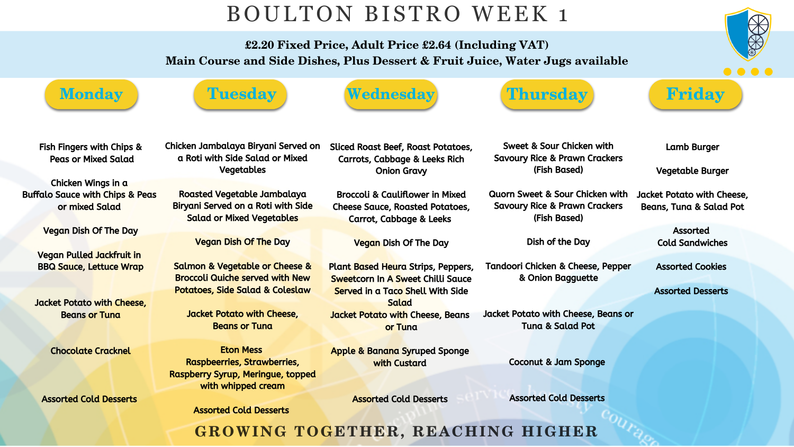## BOULTON BISTRO WEEK 1

£2.20 Fixed Price, Adult Price £2.64 (Including VAT) Main Course and Side Dishes, Plus Dessert & Fruit Juice, Water Jugs available







Fish Fingers with Chips & Peas or Mixed Salad

Chicken Wings in a Buffalo Sauce with Chips & Peas or mixed Salad

Vegan Dish Of The Day

Vegan Pulled Jackfruit in BBQ Sauce, Lettuce Wrap

Jacket Potato with Cheese, Beans or Tuna

Chocolate Cracknel

Assorted Cold Desserts

Chicken Jambalaya Biryani Served on a Roti with Side Salad or Mixed Vegetables

Roasted Vegetable Jambalaya Biryani Served on a Roti with Side Salad or Mixed Vegetables

## Vegan Dish Of The Day

Salmon & Vegetable or Cheese & Broccoli Quiche served with New Potatoes, Side Salad & Coleslaw

Jacket Potato with Cheese, Beans or Tuna

Eton Mess Raspbeerries, Strawberries, Raspberry Syrup, Meringue, topped with whipped cream

### Assorted Cold Desserts

| Sliced Roast Beef, Roast Potatoes,       |  |
|------------------------------------------|--|
| <b>Carrots, Cabbage &amp; Leeks Rich</b> |  |
| <b>Onion Gravy</b>                       |  |

Broccoli & Cauliflower in Mixed Cheese Sauce, Roasted Potatoes, Carrot, Cabbage & Leeks

Vegan Dish Of The Day

Apple & Banana Syruped Sponge with Custard

Assorted Cold Desserts

GROWING TOGETHER, REACHING HIGHER







Plant Based Heura Strips, Peppers, Sweetcorn In A Sweet Chilli Sauce Served in a Taco Shell With Side **Salad** Jacket Potato with Cheese, Beans or Tuna Tandoori Chicken & Cheese, Pepper & Onion Bagguette Jacket Potato with Cheese, Beans or Tuna & Salad Pot

Sweet & Sour Chicken with Savoury Rice & Prawn Crackers (Fish Based)

Quorn Sweet & Sour Chicken with Savoury Rice & Prawn Crackers (Fish Based)

Dish of the Day

Coconut & Jam Sponge

Assorted Cold Desserts



Lamb Burger

Vegetable Burger

Jacket Potato with Cheese, Beans, Tuna & Salad Pot

> Assorted Cold Sandwiches

Assorted Cookies

Assorted Desserts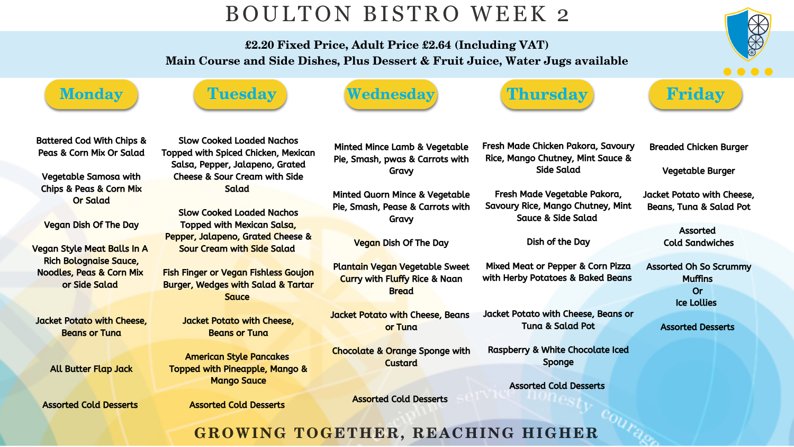## BOULTON BISTRO WEEK 2

£2.20 Fixed Price, Adult Price £2.64 (Including VAT) Main Course and Side Dishes, Plus Dessert & Fruit Juice, Water Jugs available



![](_page_1_Picture_17.jpeg)

Battered Cod With Chips & Peas & Corn Mix Or Salad

Vegetable Samosa with Chips & Peas & Corn Mix Or Salad

Vegan Dish Of The Day

Fish Finger or Vegan Fishless Goujon Burger, Wedges with Salad & Tartar **Sauce** 

Vegan Style Meat Balls In A Rich Bolognaise Sauce, Noodles, Peas & Corn Mix or Side Salad

Jacket Potato with Cheese, Beans or Tuna

All Butter Flap Jack

Assorted Cold Desserts

![](_page_1_Picture_10.jpeg)

Slow Cooked Loaded Nachos Topped with Spiced Chicken, Mexican Salsa, Pepper, Jalapeno, Grated Cheese & Sour Cream with Side Salad

Slow Cooked Loaded Nachos Topped with Mexican Salsa, Pepper, Jalapeno, Grated Cheese & Sour Cream with Side Salad

> Jacket Potato with Cheese, Beans or Tuna

American Style Pancakes Topped with Pineapple, Mango & Mango Sauce

Assorted Cold Desserts

Vegan Dish Of The Day

Minted Mince Lamb & Vegetable Pie, Smash, pwas & Carrots with Gravy Fresh Made Chicken Pakora, Savoury Rice, Mango Chutney, Mint Sauce & Side Salad

Minted Quorn Mince & Vegetable Pie, Smash, Pease & Carrots with Gravy Fresh Made Vegetable Pakora, Savoury Rice, Mango Chutney, Mint Sauce & Side Salad

Chocolate & Orange Sponge with Custard

Assorted Cold Desserts

GROWING TOGETHER, REACHING HIGHER

![](_page_1_Picture_26.jpeg)

![](_page_1_Picture_27.jpeg)

Plantain Vegan Vegetable Sweet Curry with Fluffy Rice & Naan **Bread** Mixed Meat or Pepper & Corn Pizza with Herby Potatoes & Baked Beans

Jacket Potato with Cheese, Beans or Tuna Jacket Potato with Cheese, Beans or Tuna & Salad Pot

Dish of the Day

Raspberry & White Chocolate Iced Sponge

Assorted Cold Desserts

Breaded Chicken Burger

Vegetable Burger

Jacket Potato with Cheese, Beans, Tuna & Salad Pot

> Assorted Cold Sandwiches

Assorted Oh So Scrummy **Muffins** Or Ice Lollies

Assorted Desserts